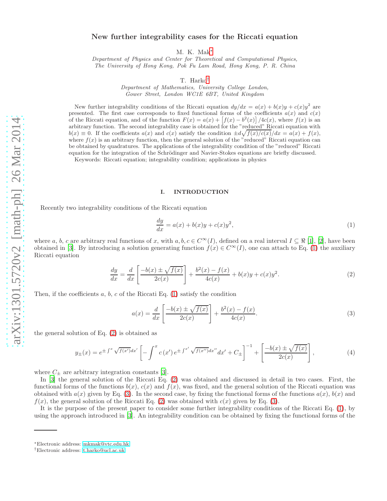# New further integrability cases for the Riccati equation

M. K. Mak[∗](#page-0-0)

Department of Physics and Center for Theoretical and Computational Physics, The University of Hong Kong, Pok Fu Lam Road, Hong Kong, P. R. China

T. Harko[†](#page-0-1)

Department of Mathematics, University College London, Gower Street, London WC1E 6BT, United Kingdom

New further integrability conditions of the Riccati equation  $dy/dx = a(x) + b(x)y + c(x)y^2$  are presented. The first case corresponds to fixed functional forms of the coefficients  $a(x)$  and  $c(x)$ of the Riccati equation, and of the function  $F(x) = a(x) + \left[ f(x) - b^2(x) \right] / 4c(x)$ , where  $f(x)$  is an arbitrary function. The second integrability case is obtained for the "reduced" Riccati equation with  $b(x) \equiv 0$ . If the coefficients  $a(x)$  and  $c(x)$  satisfy the condition  $\pm d\sqrt{f(x)/c(x)}/dx = a(x) + f(x)$ , where  $f(x)$  is an arbitrary function, then the general solution of the "reduced" Riccati equation can be obtained by quadratures. The applications of the integrability condition of the "reduced" Riccati equation for the integration of the Schrödinger and Navier-Stokes equations are briefly discussed.

Keywords: Riccati equation; integrability condition; applications in physics

#### I. INTRODUCTION

Recently two integrability conditions of the Riccati equation

<span id="page-0-2"></span>
$$
\frac{dy}{dx} = a(x) + b(x)y + c(x)y^2,\tag{1}
$$

where a, b, c are arbitrary real functions of x, with  $a, b, c \in C^{\infty}(I)$ , defined on a real interval  $I \subseteq \Re$  [\[1](#page-6-0)], [\[2\]](#page-6-1), have been obtained in [\[3](#page-6-2)]. By introducing a solution generating function  $f(x) \in C^{\infty}(I)$ , one can attach to Eq. [\(1\)](#page-0-2) the auxiliary Riccati equation

<span id="page-0-3"></span>
$$
\frac{dy}{dx} = \frac{d}{dx} \left[ \frac{-b(x) \pm \sqrt{f(x)}}{2c(x)} \right] + \frac{b^2(x) - f(x)}{4c(x)} + b(x)y + c(x)y^2.
$$
\n(2)

Then, if the coefficients a, b, c of the Riccati Eq.  $(1)$  satisfy the condition

<span id="page-0-4"></span>
$$
a(x) = \frac{d}{dx} \left[ \frac{-b(x) \pm \sqrt{f(x)}}{2c(x)} \right] + \frac{b^2(x) - f(x)}{4c(x)}.
$$
 (3)

the general solution of Eq. [\(2\)](#page-0-3) is obtained as

$$
y_{\pm}(x) = e^{\pm \int^{x} \sqrt{f(x')} dx'} \left[ -\int^{x} c(x') e^{\pm \int^{x'} \sqrt{f(x'')} dx''} dx' + C_{\pm} \right]^{-1} + \left[ \frac{-b(x) \pm \sqrt{f(x)}}{2c(x)} \right],
$$
(4)

where  $C_{\pm}$  are arbitrary integration constants [\[3\]](#page-6-2).

In [\[3](#page-6-2)] the general solution of the Riccati Eq. [\(2\)](#page-0-3) was obtained and discussed in detail in two cases. First, the functional forms of the functions  $b(x)$ ,  $c(x)$  and  $f(x)$ , was fixed, and the general solution of the Riccati equation was obtained with  $a(x)$  given by Eq. [\(3\)](#page-0-4). In the second case, by fixing the functional forms of the functions  $a(x)$ ,  $b(x)$  and  $f(x)$ , the general solution of the Riccati Eq. [\(2\)](#page-0-3) was obtained with  $c(x)$  given by Eq. [\(3\)](#page-0-4).

It is the purpose of the present paper to consider some further integrability conditions of the Riccati Eq. [\(1\)](#page-0-2), by using the approach introduced in [\[3](#page-6-2)]. An integrability condition can be obtained by fixing the functional forms of the

<span id="page-0-0"></span><sup>∗</sup>Electronic address: [mkmak@vtc.edu.hk](mailto:mkmak@vtc.edu.hk)

<span id="page-0-1"></span><sup>†</sup>Electronic address: [t.harko@ucl.ac.uk](mailto:t.harko@ucl.ac.uk)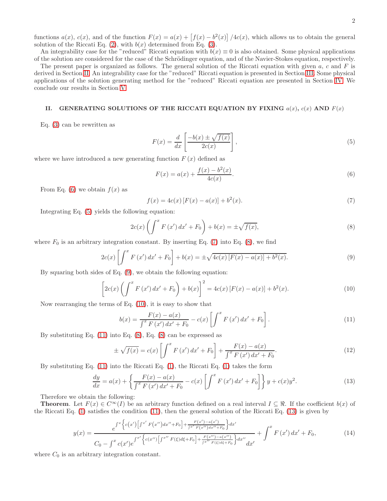functions  $a(x)$ ,  $c(x)$ , and of the function  $F(x) = a(x) + [f(x) - b^2(x)]/4c(x)$ , which allows us to obtain the general solution of the Riccati Eq. [\(2\)](#page-0-3), with  $b(x)$  determined from Eq. [\(3\)](#page-0-4).

An integrability case for the "reduced" Riccati equation with  $b(x) \equiv 0$  is also obtained. Some physical applications of the solution are considered for the case of the Schrödinger equation, and of the Navier-Stokes equation, respectively.

The present paper is organized as follows. The general solution of the Riccati equation with given  $a, c$  and  $F$  is derived in Section [II.](#page-1-0) An integrability case for the "reduced" Riccati equation is presented in Section [III.](#page-3-0) Some physical applications of the solution generating method for the "reduced" Riccati equation are presented in Section [IV.](#page-3-1) We conclude our results in Section [V.](#page-6-3)

## <span id="page-1-0"></span>II. GENERATING SOLUTIONS OF THE RICCATI EQUATION BY FIXING  $a(x)$ ,  $c(x)$  AND  $F(x)$

Eq. [\(3\)](#page-0-4) can be rewritten as

<span id="page-1-2"></span>
$$
F(x) = \frac{d}{dx} \left[ \frac{-b(x) \pm \sqrt{f(x)}}{2c(x)} \right],
$$
\n(5)

where we have introduced a new generating function  $F(x)$  defined as

<span id="page-1-1"></span>
$$
F(x) = a(x) + \frac{f(x) - b^2(x)}{4c(x)}.
$$
\n(6)

From Eq. [\(6\)](#page-1-1) we obtain  $f(x)$  as

<span id="page-1-3"></span>
$$
f(x) = 4c(x)[F(x) - a(x)] + b2(x).
$$
 (7)

Integrating Eq. [\(5\)](#page-1-2) yields the following equation:

<span id="page-1-4"></span>
$$
2c(x)\left(\int^{x} F(x') dx' + F_0\right) + b(x) = \pm \sqrt{f(x)},
$$
\n(8)

where  $F_0$  is an arbitrary integration constant. By inserting Eq. [\(7\)](#page-1-3) into Eq. [\(8\)](#page-1-4), we find

<span id="page-1-5"></span>
$$
2c(x)\left[\int^x F(x') dx' + F_0\right] + b(x) = \pm \sqrt{4c(x)[F(x) - a(x)] + b^2(x)}.
$$
\n(9)

By squaring both sides of Eq. [\(9\)](#page-1-5), we obtain the following equation:

<span id="page-1-6"></span>
$$
\[2c(x)\left(\int^x F(x') dx' + F_0\right) + b(x)\]^{2} = 4c(x)[F(x) - a(x)] + b^{2}(x). \tag{10}
$$

Now rearranging the terms of Eq. [\(10\)](#page-1-6), it is easy to show that

<span id="page-1-7"></span>
$$
b(x) = \frac{F(x) - a(x)}{\int^x F(x') dx' + F_0} - c(x) \left[ \int^x F(x') dx' + F_0 \right].
$$
 (11)

By substituting Eq. [\(11\)](#page-1-7) into Eq. [\(8\)](#page-1-4), Eq. [\(8\)](#page-1-4) can be expressed as

$$
\pm \sqrt{f(x)} = c(x) \left[ \int^x F(x') dx' + F_0 \right] + \frac{F(x) - a(x)}{\int^x F(x') dx' + F_0}.
$$
\n(12)

By substituting Eq. [\(11\)](#page-1-7) into the Riccati Eq. [\(1\)](#page-0-2), the Riccati Eq. [\(1\)](#page-0-2) takes the form

<span id="page-1-8"></span>
$$
\frac{dy}{dx} = a(x) + \left\{ \frac{F(x) - a(x)}{\int^x F(x') dx' + F_0} - c(x) \left[ \int^x F(x') dx' + F_0 \right] \right\} y + c(x) y^2.
$$
\n(13)

Therefore we obtain the following:

**Theorem.** Let  $F(x) \in C^{\infty}(I)$  be an arbitrary function defined on a real interval  $I \subseteq \mathbb{R}$ . If the coefficient  $b(x)$  of the Riccati Eq. [\(1\)](#page-0-2) satisfies the condition [\(11\)](#page-1-7), then the general solution of the Riccati Eq. [\(13\)](#page-1-8) is given by

$$
y(x) = \frac{e^{\int x \left\{c(x')\left[\int x' F(x'')dx'' + F_0\right] + \frac{F(x') - a(x')}{\int x' F(x'')dx'' + F_0}\right\} dx'}}{C_0 - \int^x c(x')e^{\int x' \left\{c(x'')\left[\int x'' F(\xi) d\xi + F_0\right] + \frac{F(x'') - a(x'')}{\int x'' F(\xi) d\xi + F_0}\right\} dx''} dx'} + \int^x F(x') dx' + F_0,
$$
(14)

where  $C_0$  is an arbitrary integration constant.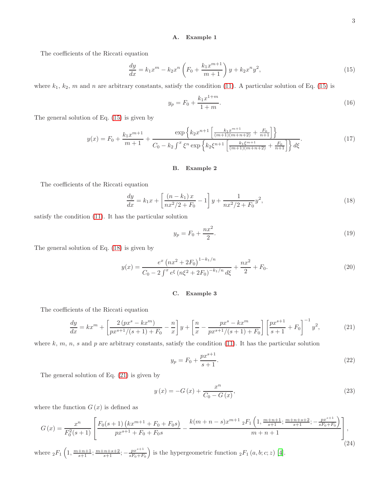### A. Example 1

The coefficients of the Riccati equation

<span id="page-2-0"></span>
$$
\frac{dy}{dx} = k_1 x^m - k_2 x^n \left( F_0 + \frac{k_1 x^{m+1}}{m+1} \right) y + k_2 x^n y^2,
$$
\n(15)

where  $k_1$ ,  $k_2$ , m and n are arbitrary constants, satisfy the condition [\(11\)](#page-1-7). A particular solution of Eq. [\(15\)](#page-2-0) is

$$
y_p = F_0 + \frac{k_1 x^{1+m}}{1+m}.\tag{16}
$$

The general solution of Eq. [\(15\)](#page-2-0) is given by

$$
y(x) = F_0 + \frac{k_1 x^{m+1}}{m+1} + \frac{\exp\left\{k_2 x^{n+1} \left[ \frac{k_1 x^{m+1}}{(m+1)(m+n+2)} + \frac{F_0}{n+1} \right] \right\}}{C_0 - k_2 \int^x \xi^n \exp\left\{k_2 \xi^{n+1} \left[ \frac{k_1 \xi^{m+1}}{(m+1)(m+n+2)} + \frac{F_0}{n+1} \right] \right\} d\xi}.
$$
(17)

#### B. Example 2

The coefficients of the Riccati equation

<span id="page-2-1"></span>
$$
\frac{dy}{dx} = k_1 x + \left[ \frac{(n-k_1)x}{nx^2/2 + F_0} - 1 \right] y + \frac{1}{nx^2/2 + F_0} y^2,\tag{18}
$$

satisfy the condition [\(11\)](#page-1-7). It has the particular solution

$$
y_p = F_0 + \frac{nx^2}{2}.\tag{19}
$$

The general solution of Eq. [\(18\)](#page-2-1) is given by

$$
y(x) = \frac{e^x \left(nx^2 + 2F_0\right)^{1 - k_1/n}}{C_0 - 2 \int^x e^{\xi} \left(n\xi^2 + 2F_0\right)^{-k_1/n} d\xi} + \frac{nx^2}{2} + F_0.
$$
 (20)

#### C. Example 3

The coefficients of the Riccati equation

<span id="page-2-2"></span>
$$
\frac{dy}{dx} = kx^m + \left[\frac{2\left(px^s - kx^m\right)}{px^{s+1}/(s+1) + F_0} - \frac{n}{x}\right]y + \left[\frac{n}{x} - \frac{px^s - kx^m}{px^{s+1}/(s+1) + F_0}\right] \left[\frac{px^{s+1}}{s+1} + F_0\right]^{-1}y^2,\tag{21}
$$

where k, m, n, s and p are arbitrary constants, satisfy the condition [\(11\)](#page-1-7). It has the particular solution

$$
y_p = F_0 + \frac{px^{s+1}}{s+1}.\tag{22}
$$

The general solution of Eq. [\(21\)](#page-2-2) is given by

$$
y\left(x\right) = -G\left(x\right) + \frac{x^n}{C_0 - G\left(x\right)},\tag{23}
$$

where the function  $G(x)$  is defined as

$$
G\left(x\right) = \frac{x^n}{F_0^2(s+1)} \left[ \frac{F_0(s+1)\left(kx^{m+1} + F_0 + F_0s\right)}{px^{s+1} + F_0 + F_0s} - \frac{k(m+n-s)x^{m+1} \, _2F_1\left(1, \frac{m+n+1}{s+1}; \frac{m+n+s+2}{s+1}; -\frac{px^{s+1}}{sF_0 + F_0}\right)}{m+n+1} \right],\tag{24}
$$

where  ${}_2F_1\left(1,\frac{m+n+1}{s+1};\frac{m+n+s+2}{s+1};-\frac{px^{s+1}}{sF_0+F}\right)$  $\left(\frac{px^{s+1}}{sF_0+F_0}\right)$  is the hypergeometric function  ${}_2F_1(a,b;c;z)$  [\[4\]](#page-6-4).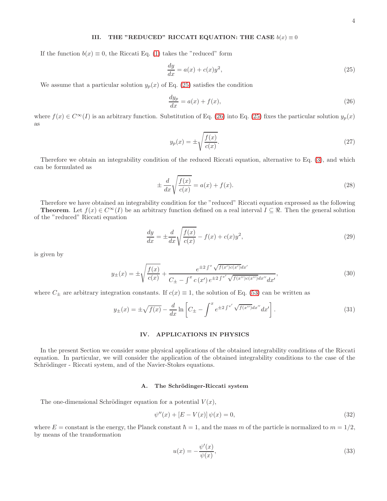### <span id="page-3-0"></span>III. THE "REDUCED" RICCATI EQUATION: THE CASE  $b(x) \equiv 0$

If the function  $b(x) \equiv 0$ , the Riccati Eq. [\(1\)](#page-0-2) takes the "reduced" form

<span id="page-3-2"></span>
$$
\frac{dy}{dx} = a(x) + c(x)y^2,\tag{25}
$$

We assume that a particular solution  $y_p(x)$  of Eq. [\(25\)](#page-3-2) satisfies the condition

<span id="page-3-3"></span>
$$
\frac{dy_p}{dx} = a(x) + f(x),\tag{26}
$$

where  $f(x) \in C^{\infty}(I)$  is an arbitrary function. Substitution of Eq. [\(26\)](#page-3-3) into Eq. [\(25\)](#page-3-2) fixes the particular solution  $y_p(x)$ as

$$
y_p(x) = \pm \sqrt{\frac{f(x)}{c(x)}}.\tag{27}
$$

Therefore we obtain an integrability condition of the reduced Riccati equation, alternative to Eq. [\(3\)](#page-0-4), and which can be formulated as

<span id="page-3-4"></span>
$$
\pm \frac{d}{dx} \sqrt{\frac{f(x)}{c(x)}} = a(x) + f(x). \tag{28}
$$

Therefore we have obtained an integrability condition for the "reduced" Riccati equation expressed as the following

**Theorem.** Let  $f(x) \in C^{\infty}(I)$  be an arbitrary function defined on a real interval  $I \subseteq \mathcal{R}$ . Then the general solution of the "reduced" Riccati equation

<span id="page-3-5"></span>
$$
\frac{dy}{dx} = \pm \frac{d}{dx} \sqrt{\frac{f(x)}{c(x)}} - f(x) + c(x)y^2,
$$
\n(29)

is given by

$$
y_{\pm}(x) = \pm \sqrt{\frac{f(x)}{c(x)}} + \frac{e^{\pm 2\int^{x} \sqrt{f(x')c(x')}dx'}}{C_{\pm} - \int^{x} c(x')e^{\pm 2\int^{x'} \sqrt{f(x'')c(x'')}dx'}dx'},
$$
\n(30)

where  $C_{\pm}$  are arbitrary integration constants. If  $c(x) \equiv 1$ , the solution of Eq. [\(53\)](#page-6-5) can be written as

$$
y_{\pm}(x) = \pm \sqrt{f(x)} - \frac{d}{dx} \ln \left[ C_{\pm} - \int^x e^{\pm 2 \int^{x'} \sqrt{f(x'')} dx''} dx' \right].
$$
 (31)

# <span id="page-3-1"></span>IV. APPLICATIONS IN PHYSICS

In the present Section we consider some physical applications of the obtained integrability conditions of the Riccati equation. In particular, we will consider the application of the obtained integrability conditions to the case of the Schrödinger - Riccati system, and of the Navier-Stokes equations.

### A. The Schrödinger-Riccati system

The one-dimensional Schrödinger equation for a potential  $V(x)$ ,

$$
\psi''(x) + [E - V(x)] \psi(x) = 0,\tag{32}
$$

where  $E =$  constant is the energy, the Planck constant  $\hbar = 1$ , and the mass m of the particle is normalized to  $m = 1/2$ , by means of the transformation

$$
u(x) = -\frac{\psi'(x)}{\psi(x)},\tag{33}
$$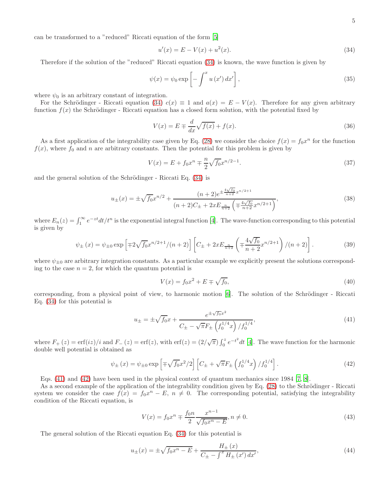can be transformed to a "reduced" Riccati equation of the form [\[5\]](#page-6-6)

<span id="page-4-0"></span>
$$
u'(x) = E - V(x) + u^2(x).
$$
 (34)

Therefore if the solution of the "reduced" Riccati equation [\(34\)](#page-4-0) is known, the wave function is given by

<span id="page-4-4"></span>
$$
\psi(x) = \psi_0 \exp\left[-\int^x u\left(x'\right)dx'\right],\tag{35}
$$

where  $\psi_0$  is an arbitrary constant of integration.

For the Schrödinger - Riccati equation [\(34\)](#page-4-0)  $c(x) \equiv 1$  and  $a(x) = E - V(x)$ . Therefore for any given arbitrary function  $f(x)$  the Schrödinger - Riccati equation has a closed form solution, with the potential fixed by

$$
V(x) = E \mp \frac{d}{dx}\sqrt{f(x)} + f(x). \tag{36}
$$

As a first application of the integrability case given by Eq. [\(28\)](#page-3-4) we consider the choice  $f(x) = f_0 x^n$  for the function  $f(x)$ , where  $f_0$  and n are arbitrary constants. Then the potential for this problem is given by

$$
V(x) = E + f_0 x^n \mp \frac{n}{2} \sqrt{f_0} x^{n/2 - 1}.
$$
\n(37)

and the general solution of the Schrödinger - Riccati Eq.  $(34)$  is

$$
u_{\pm}(x) = \pm \sqrt{f_0} x^{n/2} + \frac{(n+2)e^{\pm \frac{4\sqrt{f_0}}{n+2}x^{n/2+1}}}{(n+2)C_{\pm} + 2xE_{\frac{n}{n+2}}\left(\mp \frac{4\sqrt{f_0}}{n+2}x^{n/2+1}\right)},
$$
\n(38)

where  $E_n(z) = \int_1^{\infty} e^{-zt} dt/t^n$  is the exponential integral function [\[4](#page-6-4)]. The wave-function corresponding to this potential is given by

$$
\psi_{\pm}(x) = \psi_{\pm 0} \exp\left[\mp 2\sqrt{f_0}x^{n/2+1}/(n+2)\right] \left[C_{\pm} + 2xE_{\frac{n}{n+2}}\left(\mp \frac{4\sqrt{f_0}}{n+2}x^{n/2+1}\right)/(n+2)\right].
$$
\n(39)

where  $\psi_{\pm 0}$  are arbitrary integration constants. As a particular example we explicitly present the solutions corresponding to the case  $n = 2$ , for which the quantum potential is

$$
V(x) = f_0 x^2 + E \mp \sqrt{f_0},\tag{40}
$$

corresponding, from a physical point of view, to harmonic motion [\[6](#page-6-7)]. The solution of the Schrödinger - Riccati Eq. [\(34\)](#page-4-0) for this potential is

<span id="page-4-1"></span>
$$
u_{\pm} = \pm \sqrt{f_0}x + \frac{e^{\pm \sqrt{f_0}x^2}}{C_{\pm} - \sqrt{\pi}F_{\pm} \left(f_0^{1/4}x\right)/f_0^{1/4}},\tag{41}
$$

where  $F_+(z) = \text{erf}(iz)/i$  and  $F_-(z) = \text{erf}(z)$ , with  $\text{erf}(z) = (2/\sqrt{\pi}) \int_0^z e^{-t^2} dt$  [\[4\]](#page-6-4). The wave function for the harmonic double well potential is obtained as

<span id="page-4-2"></span>
$$
\psi_{\pm}(x) = \psi_{\pm 0} \exp\left[\mp\sqrt{f_0}x^2/2\right] \left[C_{\pm} + \sqrt{\pi}F_{\pm}\left(f_0^{1/4}x\right)/f_0^{1/4}\right].\tag{42}
$$

Eqs. [\(41\)](#page-4-1) and [\(42\)](#page-4-2) have been used in the physical context of quantum mechanics since 1984 [\[7](#page-6-8), [8](#page-6-9)].

As a second example of the application of the integrability condition given by Eq. [\(28\)](#page-3-4) to the Schrödinger - Riccati system we consider the case  $f(x) = f_0 x^n - E$ ,  $n \neq 0$ . The corresponding potential, satisfying the integrability condition of the Riccati equation, is

<span id="page-4-5"></span>
$$
V(x) = f_0 x^n \mp \frac{f_0 n}{2} \frac{x^{n-1}}{\sqrt{f_0 x^n - E}}, n \neq 0.
$$
 (43)

The general solution of the Riccati equation Eq. [\(34\)](#page-4-0) for this potential is

<span id="page-4-3"></span>
$$
u_{\pm}(x) = \pm \sqrt{f_0 x^n - E} + \frac{H_{\pm}(x)}{C_{\pm} - \int^x H_{\pm}(x') dx'},
$$
\n(44)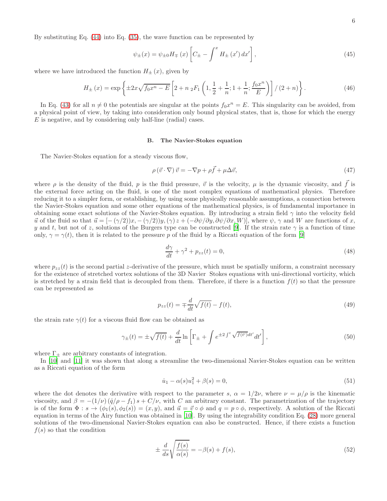By substituting Eq. [\(44\)](#page-4-3) into Eq. [\(35\)](#page-4-4), the wave function can be represented by

$$
\psi_{\pm}(x) = \psi_{\pm 0} H_{\mp}(x) \left[ C_{\pm} - \int^x H_{\pm}(x') dx' \right],
$$
\n(45)

where we have introduced the function  $H_{\pm}(x)$ , given by

$$
H_{\pm}(x) = \exp\left\{\pm 2x\sqrt{f_0x^n - E}\left[2 + n_2F_1\left(1, \frac{1}{2} + \frac{1}{n}; 1 + \frac{1}{n}; \frac{f_0x^n}{E}\right)\right] / (2 + n)\right\}.
$$
 (46)

In Eq. [\(43\)](#page-4-5) for all  $n \neq 0$  the potentials are singular at the points  $f_0 x^n = E$ . This singularity can be avoided, from a physical point of view, by taking into consideration only bound physical states, that is, those for which the energy E is negative, and by considering only half-line (radial) cases.

#### B. The Navier-Stokes equation

The Navier-Stokes equation for a steady viscous flow,

$$
\rho\left(\vec{v}\cdot\nabla\right)\vec{v} = -\nabla p + \rho\vec{f} + \mu\Delta\vec{v},\tag{47}
$$

where  $\rho$  is the density of the fluid, p is the fluid pressure,  $\vec{v}$  is the velocity,  $\mu$  is the dynamic viscosity, and  $\vec{f}$  is the external force acting on the fluid, is one of the most complex equations of mathematical physics. Therefore reducing it to a simpler form, or establishing, by using some physically reasonable assumptions, a connection between the Navier-Stokes equation and some other equations of the mathematical physics, is of fundamental importance in obtaining some exact solutions of the Navier-Stokes equation. By introducing a strain field  $\gamma$  into the velocity field  $\vec{u}$  of the fluid so that  $\vec{u} = [-(\gamma/2))x, -(\gamma/2)y, (\gamma)z + (-\partial \psi/\partial y, \partial \psi/\partial x, W)]$ , where  $\psi$ ,  $\gamma$  and W are functions of x, y and t, but not of z, solutions of the Burgers type can be constructed [\[9\]](#page-6-10). If the strain rate  $\gamma$  is a function of time only,  $\gamma = \gamma(t)$ , then it is related to the pressure p of the fluid by a Riccati equation of the form [\[9](#page-6-10)]

$$
\frac{d\gamma}{dt} + \gamma^2 + p_{zz}(t) = 0,\t\t(48)
$$

where  $p_{zz}(t)$  is the second partial z-derivative of the pressure, which must be spatially uniform, a constraint necessary for the existence of stretched vortex solutions of the 3D Navier Stokes equations with uni-directional vorticity, which is stretched by a strain field that is decoupled from them. Therefore, if there is a function  $f(t)$  so that the pressure can be represented as

$$
p_{zz}(t) = \mp \frac{d}{dt} \sqrt{f(t)} - f(t),\tag{49}
$$

the strain rate  $\gamma(t)$  for a viscous fluid flow can be obtained as

$$
\gamma_{\pm}(t) = \pm \sqrt{f(t)} + \frac{d}{dt} \ln \left[ \Gamma_{\pm} + \int e^{\pm 2 \int^t \sqrt{f(t')} dt'} dt' \right],\tag{50}
$$

where  $\Gamma_{\pm}$  are arbitrary constants of integration.

In [\[10\]](#page-6-11) and [\[11\]](#page-6-12) it was shown that along a streamline the two-dimensional Navier-Stokes equation can be written as a Riccati equation of the form

<span id="page-5-0"></span>
$$
\dot{u}_1 - \alpha(s)u_1^2 + \beta(s) = 0,\t\t(51)
$$

where the dot denotes the derivative with respect to the parameter s,  $\alpha = 1/2\nu$ , where  $\nu = \mu/\rho$  is the kinematic viscosity, and  $\beta = -(1/\nu) (\dot{q}/\rho - f_1) s + C/\nu$ , with C an arbitrary constant. The parametrization of the trajectory is of the form  $\Phi: s \to (\phi_1(s), \phi_2(s)) = (x, y)$ , and  $\vec{u} = \vec{v} \circ \phi$  and  $q = p \circ \phi$ , respectively. A solution of the Riccati equation in terms of the Airy function was obtained in [\[10\]](#page-6-11). By using the integrability condition Eq. [\(28\)](#page-3-4) more general solutions of the two-dimensional Navier-Stokes equation can also be constructed. Hence, if there exists a function  $f(s)$  so that the condition

$$
\pm \frac{d}{ds} \sqrt{\frac{f(s)}{\alpha(s)}} = -\beta(s) + f(s),\tag{52}
$$